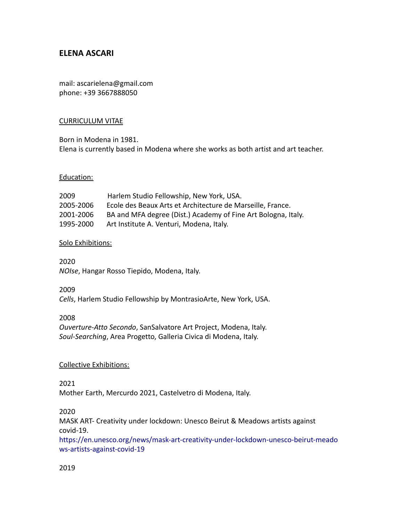# **ELENA ASCARI**

mail: ascarielena@gmail.com phone: +39 3667888050

# CURRICULUM VITAE

Born in Modena in 1981. Elena is currently based in Modena where she works as both artist and art teacher.

#### Education:

| 2009      | Harlem Studio Fellowship, New York, USA.                      |
|-----------|---------------------------------------------------------------|
| 2005-2006 | Ecole des Beaux Arts et Architecture de Marseille, France.    |
| 2001-2006 | BA and MFA degree (Dist.) Academy of Fine Art Bologna, Italy. |
| 1995-2000 | Art Institute A. Venturi, Modena, Italy.                      |

#### Solo Exhibitions:

2020 *NOIse*, Hangar Rosso Tiepido, Modena, Italy.

2009 *Cells*, Harlem Studio Fellowship by MontrasioArte, New York, USA.

#### 2008

*Ouverture-Atto Secondo*, SanSalvatore Art Project, Modena, Italy. *Soul-Searching*, Area Progetto, Galleria Civica di Modena, Italy.

#### Collective Exhibitions:

2021

Mother Earth, Mercurdo 2021, Castelvetro di Modena, Italy.

# 2020

MASK ART- Creativity under lockdown: Unesco Beirut & Meadows artists against covid-19.

[https://en.unesco.org/news/mask-art-creativity-under-lockdown-unesco-beirut-meado](https://l.facebook.com/l.php?u=https%3A%2F%2Fen.unesco.org%2Fnews%2Fmask-art-creativity-under-lockdown-unesco-beirut-meadows-artists-against-covid-19%3Ffbclid%3DIwAR0a891_DOUJR78y9-0JD5cQqLWuE_vjncMBANNN5rbGqj4ZSpZMsnpiPzE&h=AT0fZ_WbW-B77HFhb1ZksDEYaIQ2uAB3g5ikG3GkCsDeMobOUozaGJr6JQNWkfpQgmx3Yi_uvrwYm9yPtXLj8sIO8VaN3cCrRoZpOsE4FIT-9ZeHXQwqF2OICYwh474baCc) [ws-artists-against-covid-19](https://l.facebook.com/l.php?u=https%3A%2F%2Fen.unesco.org%2Fnews%2Fmask-art-creativity-under-lockdown-unesco-beirut-meadows-artists-against-covid-19%3Ffbclid%3DIwAR0a891_DOUJR78y9-0JD5cQqLWuE_vjncMBANNN5rbGqj4ZSpZMsnpiPzE&h=AT0fZ_WbW-B77HFhb1ZksDEYaIQ2uAB3g5ikG3GkCsDeMobOUozaGJr6JQNWkfpQgmx3Yi_uvrwYm9yPtXLj8sIO8VaN3cCrRoZpOsE4FIT-9ZeHXQwqF2OICYwh474baCc)

# 2019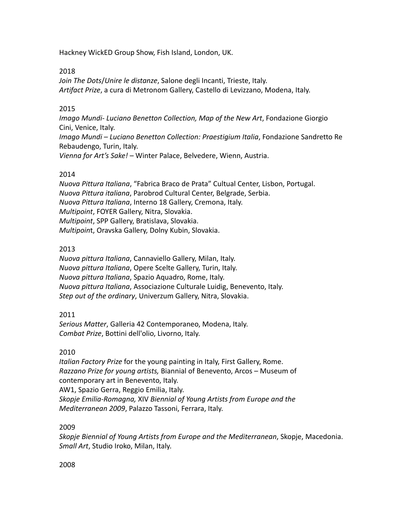Hackney WickED Group Show, Fish Island, London, UK.

# 2018

*Join The Dots*/*Unire le distanze*, Salone degli Incanti, Trieste, Italy. *Artifact Prize*, a cura di Metronom Gallery, Castello di Levizzano, Modena, Italy.

# 2015

*Imago Mundi- Luciano Benetton Collection, Map of the New Art*, Fondazione Giorgio Cini, Venice, Italy. *Imago Mundi – Luciano Benetton Collection: Praestigium Italia*, Fondazione Sandretto Re Rebaudengo, Turin, Italy. *Vienna for Art's Sake!* – Winter Palace, Belvedere, Wienn, Austria.

# 2014

*Nuova Pittura Italiana*, "Fabrica Braco de Prata" Cultual Center, Lisbon, Portugal. *Nuova Pittura italiana*, Parobrod Cultural Center, Belgrade, Serbia. *Nuova Pittura Italiana*, Interno 18 Gallery, Cremona, Italy. *Multipoint*, FOYER Gallery, Nitra, Slovakia. *Multipoint*, SPP Gallery, Bratislava, Slovakia. *Multipoin*t, Oravska Gallery, Dolny Kubin, Slovakia.

# 2013

*Nuova pittura Italiana*, Cannaviello Gallery, Milan, Italy. *Nuova pittura Italiana*, Opere Scelte Gallery, Turin, Italy. *Nuova pittura Italiana*, Spazio Aquadro, Rome, Italy. *Nuova pittura Italiana*, Associazione Culturale Luidig, Benevento, Italy. *Step out of the ordinary*, Univerzum Gallery, Nitra, Slovakia.

# 2011

*Serious Matter*, Galleria 42 Contemporaneo, Modena, Italy. *Combat Prize*, Bottini dell'olio, Livorno, Italy.

# 2010

*Italian Factory Prize* for the young painting in Italy, First Gallery, Rome. *Razzano Prize for young artists,* Biannial of Benevento, Arcos – Museum of contemporary art in Benevento, Italy. AW1, Spazio Gerra, Reggio Emilia, Italy. *Skopje Emilia-Romagna,* XIV *Biennial of Young Artists from Europe and the Mediterranean 2009*, Palazzo Tassoni, Ferrara, Italy.

# 2009

*Skopje Biennial of Young Artists from Europe and the Mediterranean*, Skopje, Macedonia. *Small Art*, Studio Iroko, Milan, Italy.

# 2008